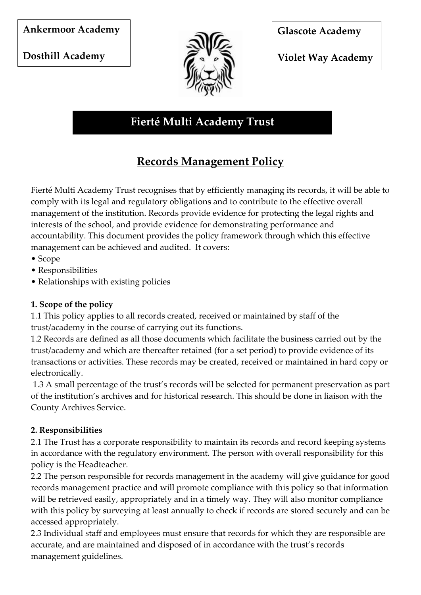**Dosthill Academy** 



**Glascote Academy** 

**Violet Way Academy** 

# **Fierté Multi Academy Trust**

# **Records Management Policy**

Fierté Multi Academy Trust recognises that by efficiently managing its records, it will be able to comply with its legal and regulatory obligations and to contribute to the effective overall management of the institution. Records provide evidence for protecting the legal rights and interests of the school, and provide evidence for demonstrating performance and accountability. This document provides the policy framework through which this effective management can be achieved and audited. It covers:

- Scope
- Responsibilities
- Relationships with existing policies

## **1. Scope of the policy**

1.1 This policy applies to all records created, received or maintained by staff of the trust/academy in the course of carrying out its functions.

1.2 Records are defined as all those documents which facilitate the business carried out by the trust/academy and which are thereafter retained (for a set period) to provide evidence of its transactions or activities. These records may be created, received or maintained in hard copy or electronically.

1.3 A small percentage of the trust's records will be selected for permanent preservation as part of the institution's archives and for historical research. This should be done in liaison with the County Archives Service.

## **2. Responsibilities**

2.1 The Trust has a corporate responsibility to maintain its records and record keeping systems in accordance with the regulatory environment. The person with overall responsibility for this policy is the Headteacher.

2.2 The person responsible for records management in the academy will give guidance for good records management practice and will promote compliance with this policy so that information will be retrieved easily, appropriately and in a timely way. They will also monitor compliance with this policy by surveying at least annually to check if records are stored securely and can be accessed appropriately.

2.3 Individual staff and employees must ensure that records for which they are responsible are accurate, and are maintained and disposed of in accordance with the trust's records management guidelines.